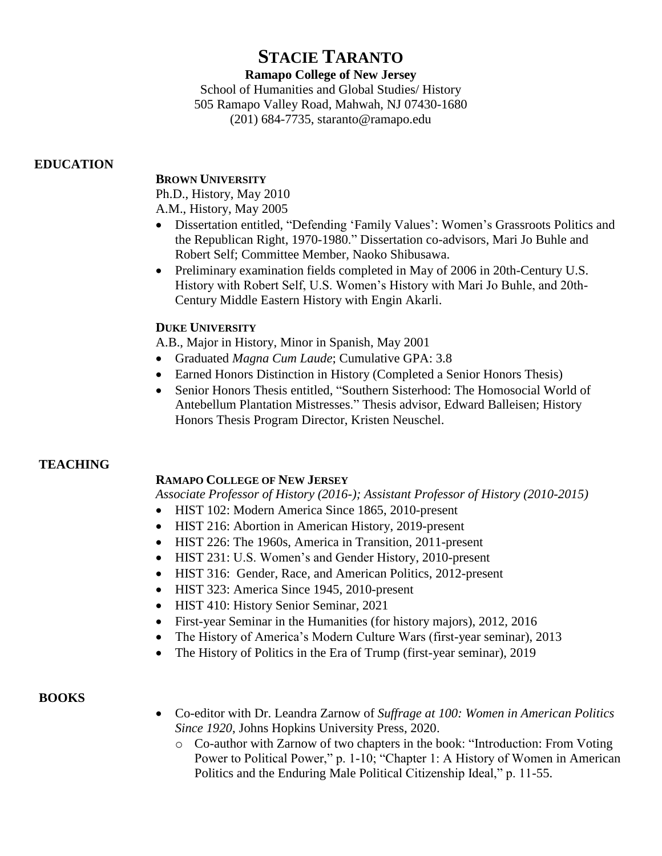# **STACIE TARANTO**

# **Ramapo College of New Jersey**

School of Humanities and Global Studies/ History 505 Ramapo Valley Road, Mahwah, NJ 07430-1680 (201) 684-7735, staranto@ramapo.edu

# **EDUCATION**

# **BROWN UNIVERSITY**

Ph.D., History, May 2010

A.M., History, May 2005

- Dissertation entitled, "Defending 'Family Values': Women's Grassroots Politics and the Republican Right, 1970-1980." Dissertation co-advisors, Mari Jo Buhle and Robert Self; Committee Member, Naoko Shibusawa.
- Preliminary examination fields completed in May of 2006 in 20th-Century U.S. History with Robert Self, U.S. Women's History with Mari Jo Buhle, and 20th-Century Middle Eastern History with Engin Akarli.

# **DUKE UNIVERSITY**

A.B., Major in History, Minor in Spanish, May 2001

- Graduated *Magna Cum Laude*; Cumulative GPA: 3.8
- Earned Honors Distinction in History (Completed a Senior Honors Thesis)
- Senior Honors Thesis entitled, "Southern Sisterhood: The Homosocial World of Antebellum Plantation Mistresses." Thesis advisor, Edward Balleisen; History Honors Thesis Program Director, Kristen Neuschel.

# **TEACHING**

# **RAMAPO COLLEGE OF NEW JERSEY**

*Associate Professor of History (2016-); Assistant Professor of History (2010-2015)*

- HIST 102: Modern America Since 1865, 2010-present
- HIST 216: Abortion in American History, 2019-present
- HIST 226: The 1960s, America in Transition, 2011-present
- HIST 231: U.S. Women's and Gender History, 2010-present
- HIST 316: Gender, Race, and American Politics, 2012-present
- HIST 323: America Since 1945, 2010-present
- HIST 410: History Senior Seminar, 2021
- First-year Seminar in the Humanities (for history majors), 2012, 2016
- The History of America's Modern Culture Wars (first-year seminar), 2013
- The History of Politics in the Era of Trump (first-year seminar), 2019

# **BOOKS**

- Co-editor with Dr. Leandra Zarnow of *Suffrage at 100: Women in American Politics Since 1920*, Johns Hopkins University Press, 2020.
	- o Co-author with Zarnow of two chapters in the book: "Introduction: From Voting Power to Political Power," p. 1-10; "Chapter 1: A History of Women in American Politics and the Enduring Male Political Citizenship Ideal," p. 11-55.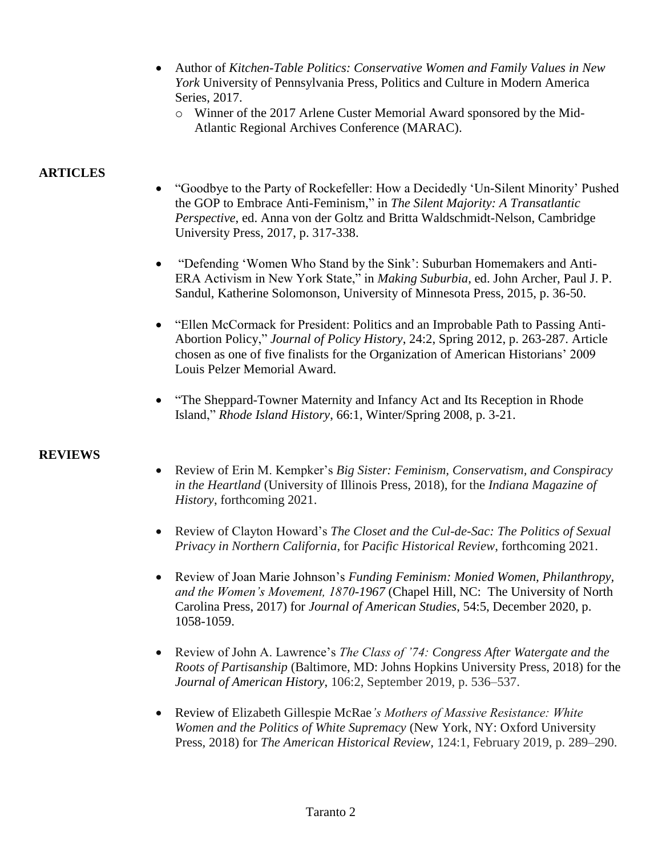- Author of *Kitchen-Table Politics: Conservative Women and Family Values in New York* University of Pennsylvania Press, Politics and Culture in Modern America Series, 2017.
	- o Winner of the 2017 Arlene Custer Memorial Award sponsored by the Mid-Atlantic Regional Archives Conference (MARAC).

# **ARTICLES**

- "Goodbye to the Party of Rockefeller: How a Decidedly 'Un-Silent Minority' Pushed the GOP to Embrace Anti-Feminism," in *The Silent Majority: A Transatlantic Perspective*, ed. Anna von der Goltz and Britta Waldschmidt-Nelson, Cambridge University Press, 2017, p. 317-338.
- "Defending 'Women Who Stand by the Sink': Suburban Homemakers and Anti-ERA Activism in New York State," in *Making Suburbia*, ed. John Archer, Paul J. P. Sandul, Katherine Solomonson, University of Minnesota Press, 2015, p. 36-50.
- "Ellen McCormack for President: Politics and an Improbable Path to Passing Anti-Abortion Policy," *Journal of Policy History*, 24:2, Spring 2012, p. 263-287. Article chosen as one of five finalists for the Organization of American Historians' 2009 Louis Pelzer Memorial Award.
- "The Sheppard-Towner Maternity and Infancy Act and Its Reception in Rhode Island," *Rhode Island History*, 66:1, Winter/Spring 2008, p. 3-21.

# **REVIEWS**

- Review of Erin M. Kempker's *Big Sister: Feminism, Conservatism, and Conspiracy in the Heartland* (University of Illinois Press, 2018), for the *Indiana Magazine of History*, forthcoming 2021.
- Review of Clayton Howard's *The Closet and the Cul-de-Sac: The Politics of Sexual Privacy in Northern California*, for *Pacific Historical Review*, forthcoming 2021.
- Review of Joan Marie Johnson's *Funding Feminism: Monied Women, Philanthropy, and the Women's Movement, 1870-1967* (Chapel Hill, NC: The University of North Carolina Press, 2017) for *Journal of American Studies*, 54:5, December 2020, p. 1058-1059.
- Review of John A. Lawrence's *The Class of '74: Congress After Watergate and the Roots of Partisanship* (Baltimore, MD: Johns Hopkins University Press, 2018) for the *Journal of American History*, 106:2, September 2019, p. 536–537.
- Review of Elizabeth Gillespie McRae*'s Mothers of Massive Resistance: White Women and the Politics of White Supremacy* (New York, NY: Oxford University Press, 2018) for *The American Historical Review,* 124:1, February 2019, p. 289–290.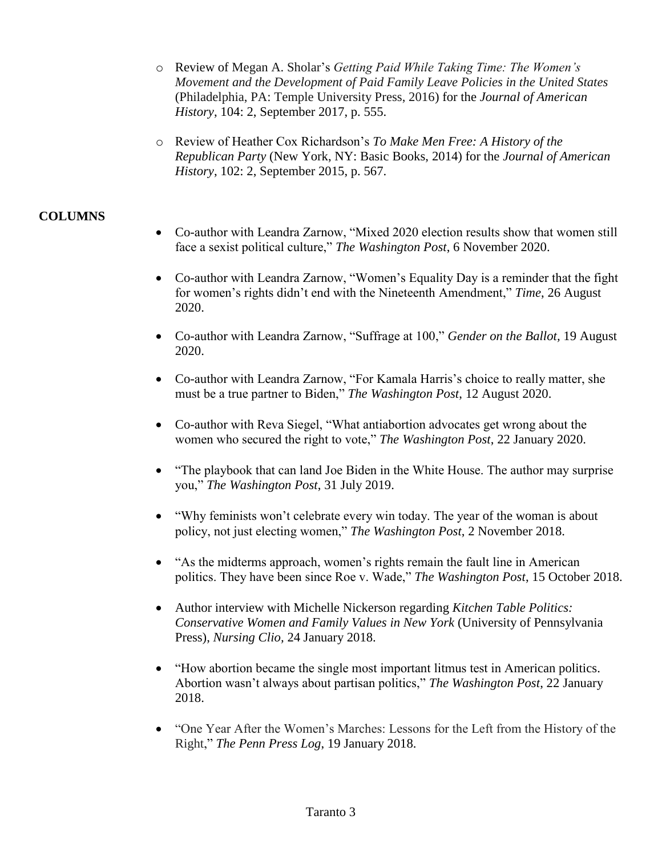- o Review of Megan A. Sholar's *Getting Paid While Taking Time: The Women's Movement and the Development of Paid Family Leave Policies in the United States* (Philadelphia, PA: Temple University Press, 2016) for the *Journal of American History*, 104: 2, September 2017, p. 555.
- o Review of Heather Cox Richardson's *To Make Men Free: A History of the Republican Party* (New York, NY: Basic Books, 2014) for the *Journal of American History*, 102: 2, September 2015, p. 567.

# **COLUMNS**

- Co-author with Leandra Zarnow, "Mixed 2020 election results show that women still face a sexist political culture," *The Washington Post*, 6 November 2020.
- Co-author with Leandra Zarnow, "Women's Equality Day is a reminder that the fight for women's rights didn't end with the Nineteenth Amendment," *Time*, 26 August 2020.
- Co-author with Leandra Zarnow, "Suffrage at 100," *Gender on the Ballot,* 19 August 2020.
- Co-author with Leandra Zarnow, "For Kamala Harris's choice to really matter, she must be a true partner to Biden," *The Washington Post*, 12 August 2020.
- Co-author with Reva Siegel, "What antiabortion advocates get wrong about the women who secured the right to vote," *The Washington Post*, 22 January 2020.
- "The playbook that can land Joe Biden in the White House. The author may surprise you," *The Washington Post*, 31 July 2019.
- "Why feminists won't celebrate every win today. The year of the woman is about policy, not just electing women," *The Washington Post*, 2 November 2018.
- "As the midterms approach, women's rights remain the fault line in American politics. They have been since Roe v. Wade," *The Washington Post*, 15 October 2018.
- Author interview with Michelle Nickerson regarding *Kitchen Table Politics: Conservative Women and Family Values in New York* (University of Pennsylvania Press), *Nursing Clio,* 24 January 2018.
- "How abortion became the single most important litmus test in American politics. Abortion wasn't always about partisan politics," *The Washington Post*, 22 January 2018.
- "One Year After the Women's Marches: Lessons for the Left from the History of the Right," *The Penn Press Log*, 19 January 2018.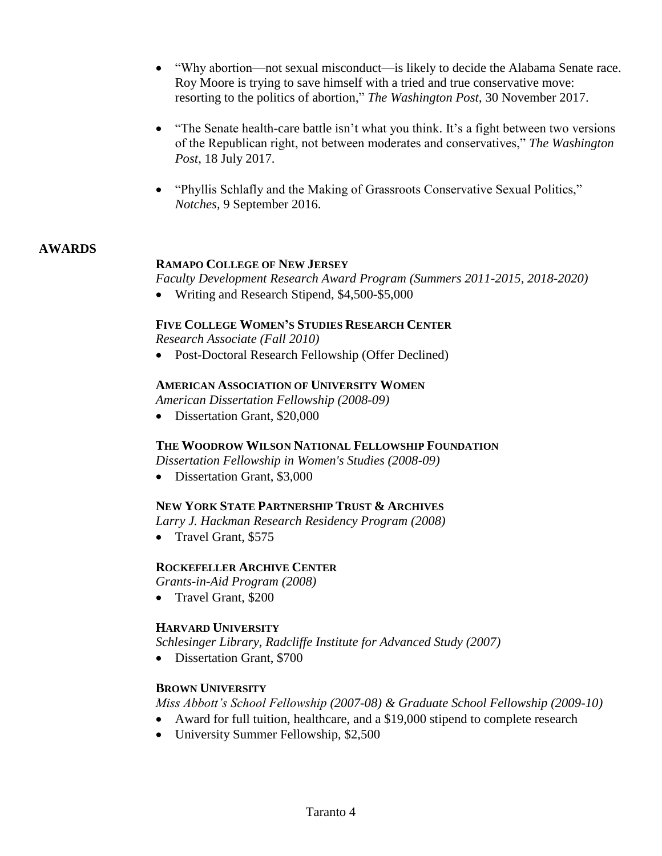- "Why abortion—not sexual misconduct—is likely to decide the Alabama Senate race. Roy Moore is trying to save himself with a tried and true conservative move: resorting to the politics of abortion," *The Washington Post*, 30 November 2017.
- "The Senate health-care battle isn't what you think. It's a fight between two versions of the Republican right, not between moderates and conservatives," *The Washington Post*, 18 July 2017.
- "Phyllis Schlafly and the Making of Grassroots Conservative Sexual Politics," *Notches,* 9 September 2016.

# **AWARDS**

# **RAMAPO COLLEGE OF NEW JERSEY**

*Faculty Development Research Award Program (Summers 2011-2015, 2018-2020)*

• Writing and Research Stipend, \$4,500-\$5,000

#### **FIVE COLLEGE WOMEN'S STUDIES RESEARCH CENTER**

*Research Associate (Fall 2010)*

• Post-Doctoral Research Fellowship (Offer Declined)

#### **AMERICAN ASSOCIATION OF UNIVERSITY WOMEN**

*American Dissertation Fellowship (2008-09)*

• Dissertation Grant, \$20,000

# **THE WOODROW WILSON NATIONAL FELLOWSHIP FOUNDATION**

*Dissertation Fellowship in Women's Studies (2008-09)*

• Dissertation Grant, \$3,000

# **NEW YORK STATE PARTNERSHIP TRUST & ARCHIVES**

*Larry J. Hackman Research Residency Program (2008)*

• Travel Grant, \$575

# **ROCKEFELLER ARCHIVE CENTER**

*Grants-in-Aid Program (2008)*

• Travel Grant, \$200

# **HARVARD UNIVERSITY**

*Schlesinger Library, Radcliffe Institute for Advanced Study (2007)*

• Dissertation Grant, \$700

# **BROWN UNIVERSITY**

*Miss Abbott's School Fellowship (2007-08) & Graduate School Fellowship (2009-10)*

- Award for full tuition, healthcare, and a \$19,000 stipend to complete research
- University Summer Fellowship, \$2,500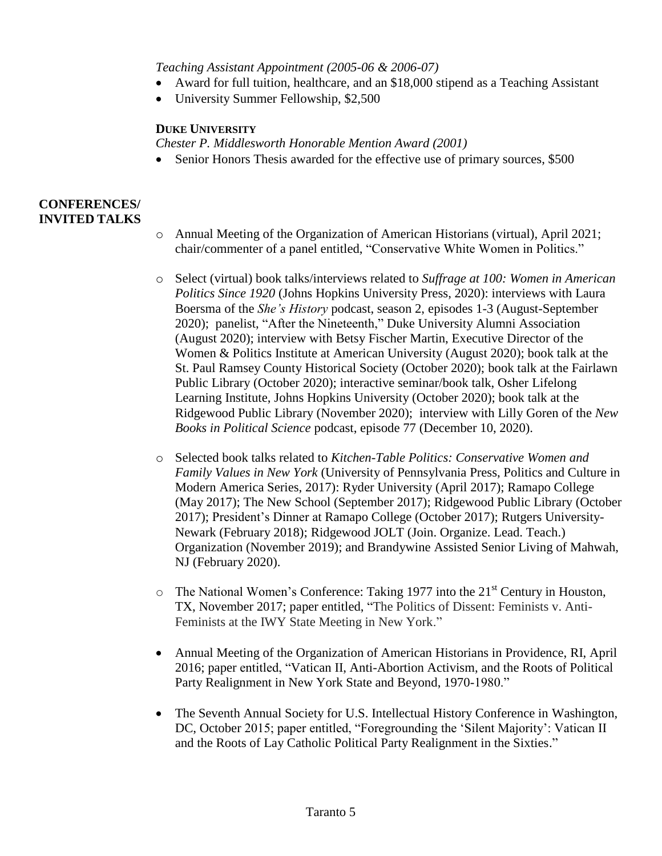*Teaching Assistant Appointment (2005-06 & 2006-07)*

- Award for full tuition, healthcare, and an \$18,000 stipend as a Teaching Assistant
- University Summer Fellowship, \$2,500

#### **DUKE UNIVERSITY**

*Chester P. Middlesworth Honorable Mention Award (2001)*

• Senior Honors Thesis awarded for the effective use of primary sources, \$500

# **CONFERENCES/ INVITED TALKS**

- o Annual Meeting of the Organization of American Historians (virtual), April 2021; chair/commenter of a panel entitled, "Conservative White Women in Politics."
- o Select (virtual) book talks/interviews related to *Suffrage at 100: Women in American Politics Since 1920* (Johns Hopkins University Press, 2020): interviews with Laura Boersma of the *She's History* podcast, season 2, episodes 1-3 (August-September 2020); panelist, "After the Nineteenth," Duke University Alumni Association (August 2020); interview with Betsy Fischer Martin, Executive Director of the Women & Politics Institute at American University (August 2020); book talk at the St. Paul Ramsey County Historical Society (October 2020); book talk at the Fairlawn Public Library (October 2020); interactive seminar/book talk, Osher Lifelong Learning Institute, Johns Hopkins University (October 2020); book talk at the Ridgewood Public Library (November 2020); interview with Lilly Goren of the *New Books in Political Science* podcast, episode 77 (December 10, 2020).
- o Selected book talks related to *Kitchen-Table Politics: Conservative Women and Family Values in New York* (University of Pennsylvania Press, Politics and Culture in Modern America Series, 2017): Ryder University (April 2017); Ramapo College (May 2017); The New School (September 2017); Ridgewood Public Library (October 2017); President's Dinner at Ramapo College (October 2017); Rutgers University-Newark (February 2018); Ridgewood JOLT (Join. Organize. Lead. Teach.) Organization (November 2019); and Brandywine Assisted Senior Living of Mahwah, NJ (February 2020).
- $\circ$  The National Women's Conference: Taking 1977 into the 21<sup>st</sup> Century in Houston, TX, November 2017; paper entitled, "The Politics of Dissent: Feminists v. Anti-Feminists at the IWY State Meeting in New York."
- Annual Meeting of the Organization of American Historians in Providence, RI, April 2016; paper entitled, "Vatican II, Anti-Abortion Activism, and the Roots of Political Party Realignment in New York State and Beyond, 1970-1980."
- The Seventh Annual Society for U.S. Intellectual History Conference in Washington, DC, October 2015; paper entitled, "Foregrounding the 'Silent Majority': Vatican II and the Roots of Lay Catholic Political Party Realignment in the Sixties."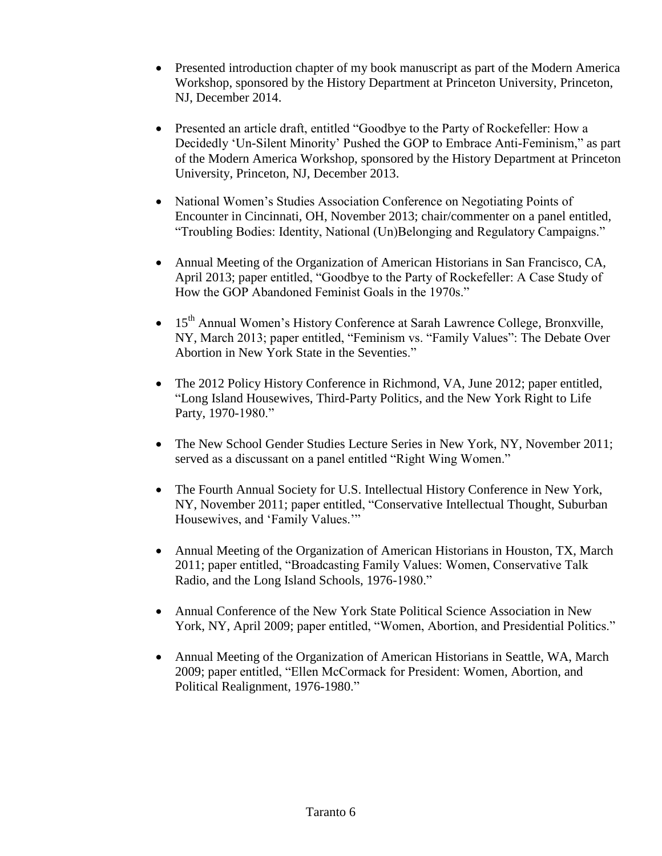- Presented introduction chapter of my book manuscript as part of the Modern America Workshop, sponsored by the History Department at Princeton University, Princeton, NJ, December 2014.
- Presented an article draft, entitled "Goodbye to the Party of Rockefeller: How a Decidedly 'Un-Silent Minority' Pushed the GOP to Embrace Anti-Feminism," as part of the Modern America Workshop, sponsored by the History Department at Princeton University, Princeton, NJ, December 2013.
- National Women's Studies Association Conference on Negotiating Points of Encounter in Cincinnati, OH, November 2013; chair/commenter on a panel entitled, "Troubling Bodies: Identity, National (Un)Belonging and Regulatory Campaigns."
- Annual Meeting of the Organization of American Historians in San Francisco, CA, April 2013; paper entitled, "Goodbye to the Party of Rockefeller: A Case Study of How the GOP Abandoned Feminist Goals in the 1970s."
- 15<sup>th</sup> Annual Women's History Conference at Sarah Lawrence College, Bronxville, NY, March 2013; paper entitled, "Feminism vs. "Family Values": The Debate Over Abortion in New York State in the Seventies."
- The 2012 Policy History Conference in Richmond, VA, June 2012; paper entitled, "Long Island Housewives, Third-Party Politics, and the New York Right to Life Party, 1970-1980."
- The New School Gender Studies Lecture Series in New York, NY, November 2011; served as a discussant on a panel entitled "Right Wing Women."
- The Fourth Annual Society for U.S. Intellectual History Conference in New York, NY, November 2011; paper entitled, "Conservative Intellectual Thought, Suburban Housewives, and 'Family Values.'"
- Annual Meeting of the Organization of American Historians in Houston, TX, March 2011; paper entitled, "Broadcasting Family Values: Women, Conservative Talk Radio, and the Long Island Schools, 1976-1980."
- Annual Conference of the New York State Political Science Association in New York, NY, April 2009; paper entitled, "Women, Abortion, and Presidential Politics."
- Annual Meeting of the Organization of American Historians in Seattle, WA, March 2009; paper entitled, "Ellen McCormack for President: Women, Abortion, and Political Realignment, 1976-1980."